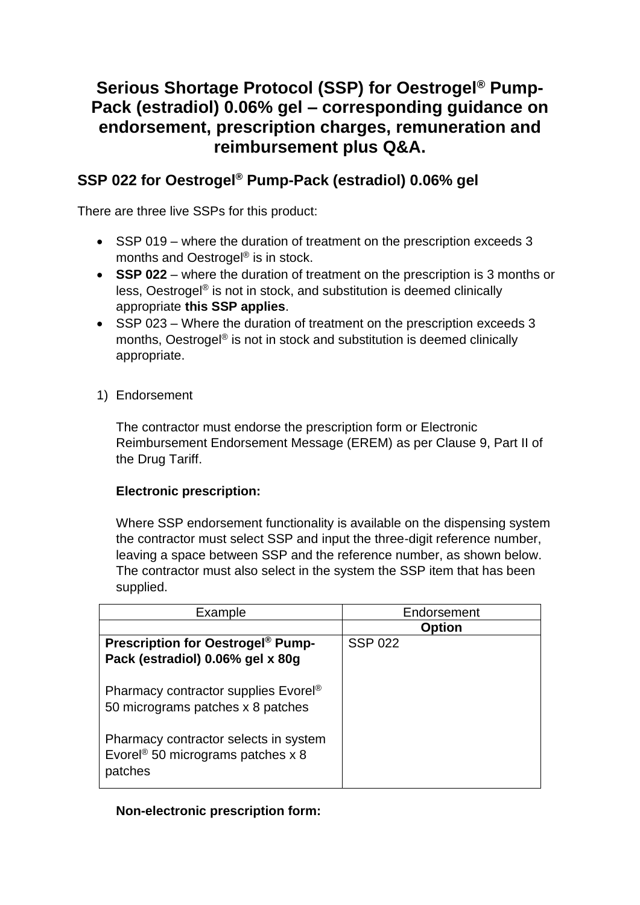# **Serious Shortage Protocol (SSP) for Oestrogel® Pump-Pack (estradiol) 0.06% gel – corresponding guidance on endorsement, prescription charges, remuneration and reimbursement plus Q&A.**

# **SSP 022 for Oestrogel® Pump-Pack (estradiol) 0.06% gel**

There are three live SSPs for this product:

- SSP 019 where the duration of treatment on the prescription exceeds 3 months and Oestrogel<sup>®</sup> is in stock.
- **SSP 022** where the duration of treatment on the prescription is 3 months or less, Oestrogel® is not in stock, and substitution is deemed clinically appropriate **this SSP applies**.
- SSP 023 Where the duration of treatment on the prescription exceeds 3 months, Oestrogel® is not in stock and substitution is deemed clinically appropriate.
- 1) Endorsement

The contractor must endorse the prescription form or Electronic Reimbursement Endorsement Message (EREM) as per Clause 9, Part II of the Drug Tariff.

# **Electronic prescription:**

Where SSP endorsement functionality is available on the dispensing system the contractor must select SSP and input the three-digit reference number, leaving a space between SSP and the reference number, as shown below. The contractor must also select in the system the SSP item that has been supplied.

| Example                                             | Endorsement    |  |
|-----------------------------------------------------|----------------|--|
|                                                     | <b>Option</b>  |  |
| <b>Prescription for Oestrogel<sup>®</sup> Pump-</b> | <b>SSP 022</b> |  |
| Pack (estradiol) 0.06% gel x 80g                    |                |  |
|                                                     |                |  |
| Pharmacy contractor supplies Evorel®                |                |  |
| 50 micrograms patches x 8 patches                   |                |  |
|                                                     |                |  |
| Pharmacy contractor selects in system               |                |  |
| Evorel <sup>®</sup> 50 micrograms patches $x$ 8     |                |  |
| patches                                             |                |  |
|                                                     |                |  |

# **Non-electronic prescription form:**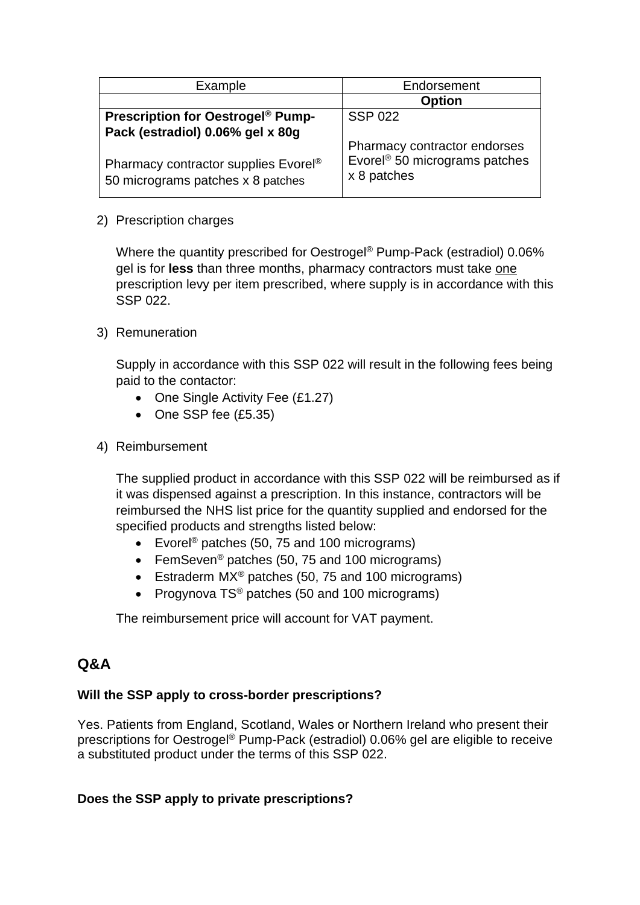| Example                                                                                                                   | Endorsement                                                                              |  |
|---------------------------------------------------------------------------------------------------------------------------|------------------------------------------------------------------------------------------|--|
|                                                                                                                           | <b>Option</b>                                                                            |  |
| <b>Prescription for Oestrogel<sup>®</sup> Pump-</b>                                                                       | <b>SSP 022</b>                                                                           |  |
| Pack (estradiol) 0.06% gel x 80g<br>Pharmacy contractor supplies Evorel <sup>®</sup><br>50 micrograms patches x 8 patches | Pharmacy contractor endorses<br>Evorel <sup>®</sup> 50 micrograms patches<br>x 8 patches |  |

#### 2) Prescription charges

Where the quantity prescribed for Oestrogel® Pump-Pack (estradiol) 0.06% gel is for **less** than three months, pharmacy contractors must take one prescription levy per item prescribed, where supply is in accordance with this SSP 022.

#### 3) Remuneration

Supply in accordance with this SSP 022 will result in the following fees being paid to the contactor:

- One Single Activity Fee (£1.27)
- One SSP fee (£5.35)
- 4) Reimbursement

The supplied product in accordance with this SSP 022 will be reimbursed as if it was dispensed against a prescription. In this instance, contractors will be reimbursed the NHS list price for the quantity supplied and endorsed for the specified products and strengths listed below:

- Evorel<sup>®</sup> patches (50, 75 and 100 micrograms)
- FemSeven<sup>®</sup> patches (50, 75 and 100 micrograms)
- Estraderm MX<sup>®</sup> patches (50, 75 and 100 micrograms)
- Progynova TS<sup>®</sup> patches (50 and 100 micrograms)

The reimbursement price will account for VAT payment.

# **Q&A**

# **Will the SSP apply to cross-border prescriptions?**

Yes. Patients from England, Scotland, Wales or Northern Ireland who present their prescriptions for Oestrogel® Pump-Pack (estradiol) 0.06% gel are eligible to receive a substituted product under the terms of this SSP 022.

# **Does the SSP apply to private prescriptions?**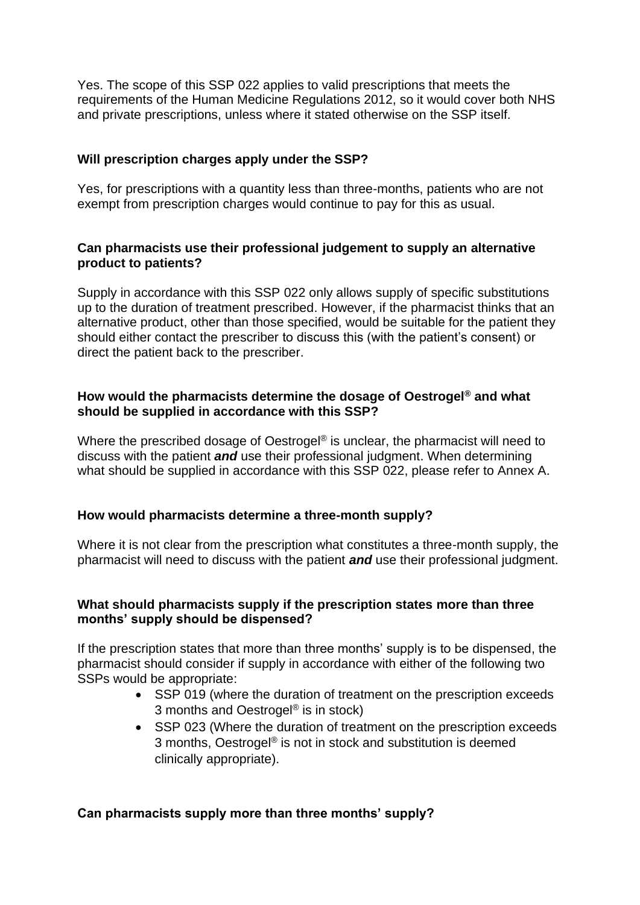Yes. The scope of this SSP 022 applies to valid prescriptions that meets the requirements of the Human Medicine Regulations 2012, so it would cover both NHS and private prescriptions, unless where it stated otherwise on the SSP itself.

#### **Will prescription charges apply under the SSP?**

Yes, for prescriptions with a quantity less than three-months, patients who are not exempt from prescription charges would continue to pay for this as usual.

#### **Can pharmacists use their professional judgement to supply an alternative product to patients?**

Supply in accordance with this SSP 022 only allows supply of specific substitutions up to the duration of treatment prescribed. However, if the pharmacist thinks that an alternative product, other than those specified, would be suitable for the patient they should either contact the prescriber to discuss this (with the patient's consent) or direct the patient back to the prescriber.

#### **How would the pharmacists determine the dosage of Oestrogel® and what should be supplied in accordance with this SSP?**

Where the prescribed dosage of Oestrogel<sup>®</sup> is unclear, the pharmacist will need to discuss with the patient *and* use their professional judgment. When determining what should be supplied in accordance with this SSP 022, please refer to Annex A.

#### **How would pharmacists determine a three-month supply?**

Where it is not clear from the prescription what constitutes a three-month supply, the pharmacist will need to discuss with the patient *and* use their professional judgment.

#### **What should pharmacists supply if the prescription states more than three months' supply should be dispensed?**

If the prescription states that more than three months' supply is to be dispensed, the pharmacist should consider if supply in accordance with either of the following two SSPs would be appropriate:

- SSP 019 (where the duration of treatment on the prescription exceeds 3 months and Oestrogel® is in stock)
- SSP 023 (Where the duration of treatment on the prescription exceeds 3 months, Oestrogel® is not in stock and substitution is deemed clinically appropriate).

# **Can pharmacists supply more than three months' supply?**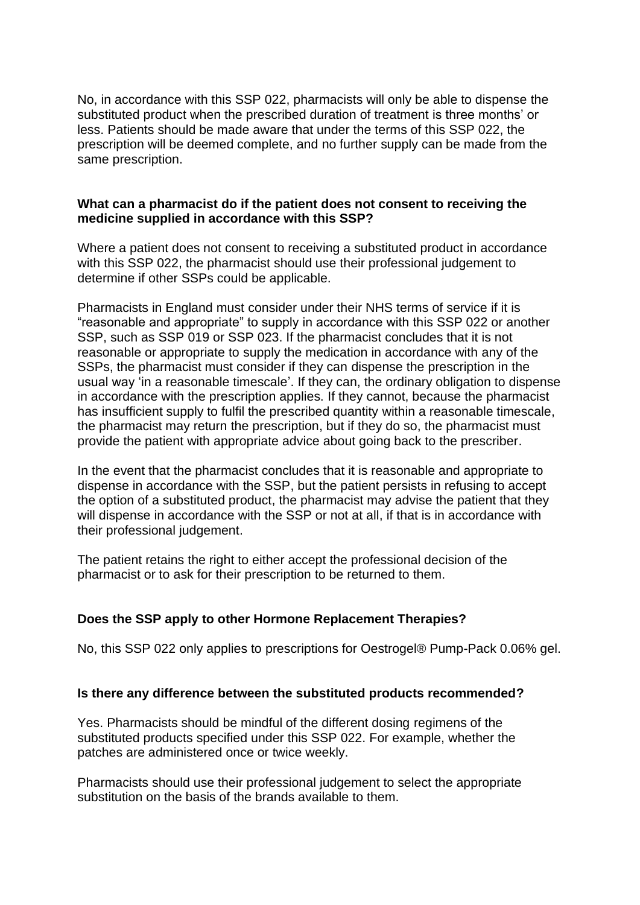No, in accordance with this SSP 022, pharmacists will only be able to dispense the substituted product when the prescribed duration of treatment is three months' or less. Patients should be made aware that under the terms of this SSP 022, the prescription will be deemed complete, and no further supply can be made from the same prescription.

#### **What can a pharmacist do if the patient does not consent to receiving the medicine supplied in accordance with this SSP?**

Where a patient does not consent to receiving a substituted product in accordance with this SSP 022, the pharmacist should use their professional judgement to determine if other SSPs could be applicable.

Pharmacists in England must consider under their NHS terms of service if it is "reasonable and appropriate" to supply in accordance with this SSP 022 or another SSP, such as SSP 019 or SSP 023. If the pharmacist concludes that it is not reasonable or appropriate to supply the medication in accordance with any of the SSPs, the pharmacist must consider if they can dispense the prescription in the usual way 'in a reasonable timescale'. If they can, the ordinary obligation to dispense in accordance with the prescription applies. If they cannot, because the pharmacist has insufficient supply to fulfil the prescribed quantity within a reasonable timescale, the pharmacist may return the prescription, but if they do so, the pharmacist must provide the patient with appropriate advice about going back to the prescriber.

In the event that the pharmacist concludes that it is reasonable and appropriate to dispense in accordance with the SSP, but the patient persists in refusing to accept the option of a substituted product, the pharmacist may advise the patient that they will dispense in accordance with the SSP or not at all, if that is in accordance with their professional judgement.

The patient retains the right to either accept the professional decision of the pharmacist or to ask for their prescription to be returned to them.

# **Does the SSP apply to other Hormone Replacement Therapies?**

No, this SSP 022 only applies to prescriptions for Oestrogel® Pump-Pack 0.06% gel.

#### **Is there any difference between the substituted products recommended?**

Yes. Pharmacists should be mindful of the different dosing regimens of the substituted products specified under this SSP 022. For example, whether the patches are administered once or twice weekly.

Pharmacists should use their professional judgement to select the appropriate substitution on the basis of the brands available to them.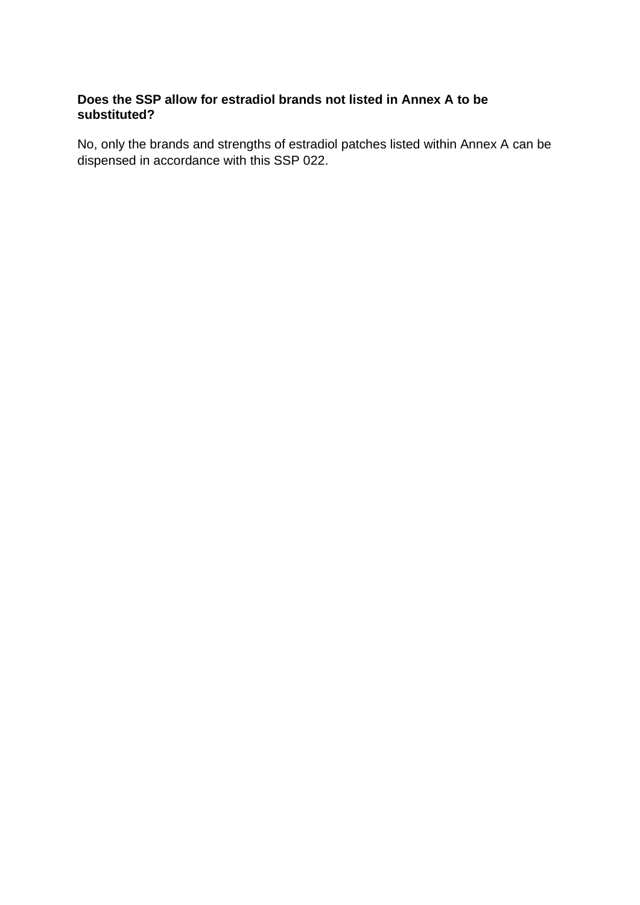# **Does the SSP allow for estradiol brands not listed in Annex A to be substituted?**

No, only the brands and strengths of estradiol patches listed within Annex A can be dispensed in accordance with this SSP 022.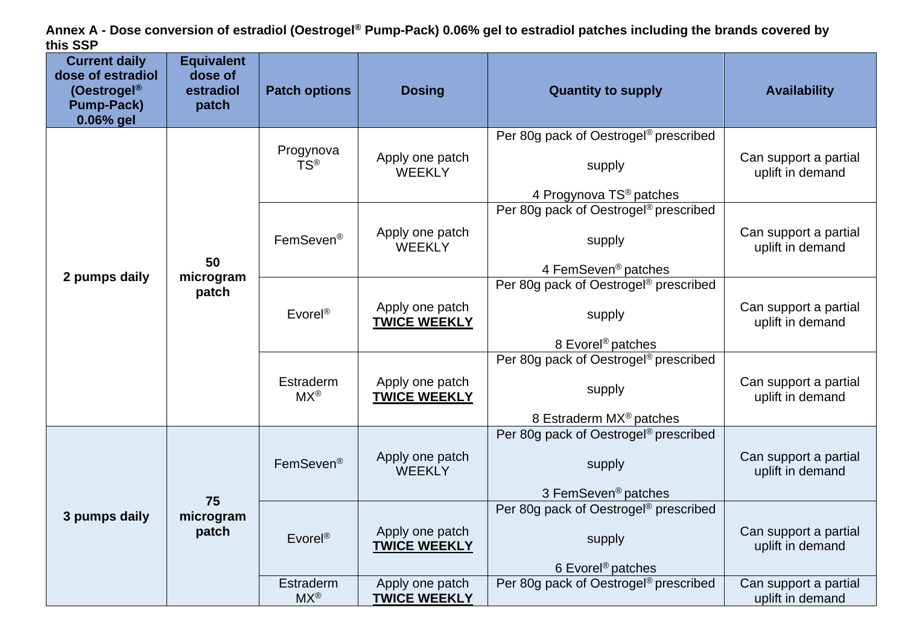**Annex A - Dose conversion of estradiol (Oestrogel® Pump-Pack) 0.06% gel to estradiol patches including the brands covered by this SSP**

| <b>Current daily</b><br>dose of estradiol<br>(Oestrogel®<br><b>Pump-Pack)</b><br>0.06% gel | <b>Equivalent</b><br>dose of<br>estradiol<br>patch | <b>Patch options</b>          | <b>Dosing</b>                          | <b>Quantity to supply</b>                                                                          | <b>Availability</b>                       |
|--------------------------------------------------------------------------------------------|----------------------------------------------------|-------------------------------|----------------------------------------|----------------------------------------------------------------------------------------------------|-------------------------------------------|
| 2 pumps daily                                                                              | 50<br>microgram<br>patch                           | Progynova<br>TS®              | Apply one patch<br><b>WEEKLY</b>       | Per 80g pack of Oestrogel <sup>®</sup> prescribed<br>supply<br>4 Progynova TS <sup>®</sup> patches | Can support a partial<br>uplift in demand |
|                                                                                            |                                                    | FemSeven®                     | Apply one patch<br><b>WEEKLY</b>       | Per 80g pack of Oestrogel <sup>®</sup> prescribed<br>supply<br>4 FemSeven <sup>®</sup> patches     | Can support a partial<br>uplift in demand |
|                                                                                            |                                                    | Evorel <sup>®</sup>           | Apply one patch<br><b>TWICE WEEKLY</b> | Per 80g pack of Oestrogel <sup>®</sup> prescribed<br>supply<br>8 Evorel <sup>®</sup> patches       | Can support a partial<br>uplift in demand |
|                                                                                            |                                                    | Estraderm<br>$MX^{\circledR}$ | Apply one patch<br><b>TWICE WEEKLY</b> | Per 80g pack of Oestrogel <sup>®</sup> prescribed<br>supply<br>8 Estraderm MX <sup>®</sup> patches | Can support a partial<br>uplift in demand |
| 3 pumps daily                                                                              | 75<br>microgram<br>patch                           | FemSeven <sup>®</sup>         | Apply one patch<br><b>WEEKLY</b>       | Per 80g pack of Oestrogel <sup>®</sup> prescribed<br>supply<br>3 FemSeven <sup>®</sup> patches     | Can support a partial<br>uplift in demand |
|                                                                                            |                                                    | $E$ vorel®                    | Apply one patch<br><b>TWICE WEEKLY</b> | Per 80g pack of Oestrogel <sup>®</sup> prescribed<br>supply<br>6 Evorel <sup>®</sup> patches       | Can support a partial<br>uplift in demand |
|                                                                                            |                                                    | Estraderm<br>$MX^{\circledR}$ | Apply one patch<br><b>TWICE WEEKLY</b> | Per 80g pack of Oestrogel <sup>®</sup> prescribed                                                  | Can support a partial<br>uplift in demand |